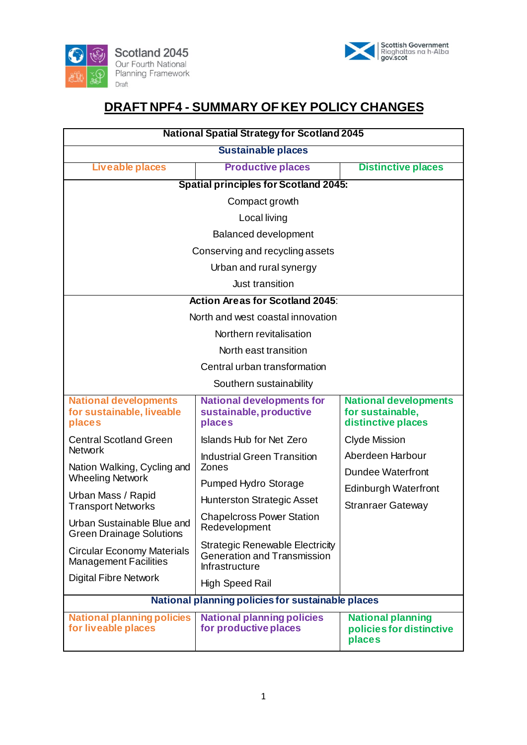



# **DRAFT NPF4 - SUMMARY OF KEY POLICY CHANGES**

| <b>National Spatial Strategy for Scotland 2045</b>                                         |                                                                                         |                                                                        |
|--------------------------------------------------------------------------------------------|-----------------------------------------------------------------------------------------|------------------------------------------------------------------------|
| <b>Sustainable places</b>                                                                  |                                                                                         |                                                                        |
| Liveable places                                                                            | <b>Productive places</b>                                                                | <b>Distinctive places</b>                                              |
| <b>Spatial principles for Scotland 2045:</b>                                               |                                                                                         |                                                                        |
| Compact growth                                                                             |                                                                                         |                                                                        |
| Local living                                                                               |                                                                                         |                                                                        |
| <b>Balanced development</b>                                                                |                                                                                         |                                                                        |
| Conserving and recycling assets                                                            |                                                                                         |                                                                        |
| Urban and rural synergy                                                                    |                                                                                         |                                                                        |
| Just transition                                                                            |                                                                                         |                                                                        |
| <b>Action Areas for Scotland 2045:</b>                                                     |                                                                                         |                                                                        |
| North and west coastal innovation                                                          |                                                                                         |                                                                        |
| Northern revitalisation                                                                    |                                                                                         |                                                                        |
| North east transition                                                                      |                                                                                         |                                                                        |
| Central urban transformation                                                               |                                                                                         |                                                                        |
| Southern sustainability                                                                    |                                                                                         |                                                                        |
| <b>National developments</b><br>for sustainable, liveable<br>places                        | <b>National developments for</b><br>sustainable, productive<br>places                   | <b>National developments</b><br>for sustainable,<br>distinctive places |
| <b>Central Scotland Green</b>                                                              | <b>Islands Hub for Net Zero</b>                                                         | <b>Clyde Mission</b>                                                   |
| <b>Network</b><br>Nation Walking, Cycling and                                              | <b>Industrial Green Transition</b><br>Zones                                             | Aberdeen Harbour                                                       |
| <b>Wheeling Network</b>                                                                    | Pumped Hydro Storage                                                                    | <b>Dundee Waterfront</b>                                               |
| Urban Mass / Rapid                                                                         | <b>Hunterston Strategic Asset</b>                                                       | <b>Edinburgh Waterfront</b>                                            |
| <b>Transport Networks</b><br>Urban Sustainable Blue and<br><b>Green Drainage Solutions</b> | <b>Chapelcross Power Station</b><br>Redevelopment                                       | <b>Stranraer Gateway</b>                                               |
| <b>Circular Economy Materials</b><br><b>Management Facilities</b>                          | <b>Strategic Renewable Electricity</b><br>Generation and Transmission<br>Infrastructure |                                                                        |
| <b>Digital Fibre Network</b>                                                               | <b>High Speed Rail</b>                                                                  |                                                                        |
| National planning policies for sustainable places                                          |                                                                                         |                                                                        |
| <b>National planning policies</b><br>for liveable places                                   | <b>National planning policies</b><br>for productive places                              | <b>National planning</b><br>policies for distinctive<br>places         |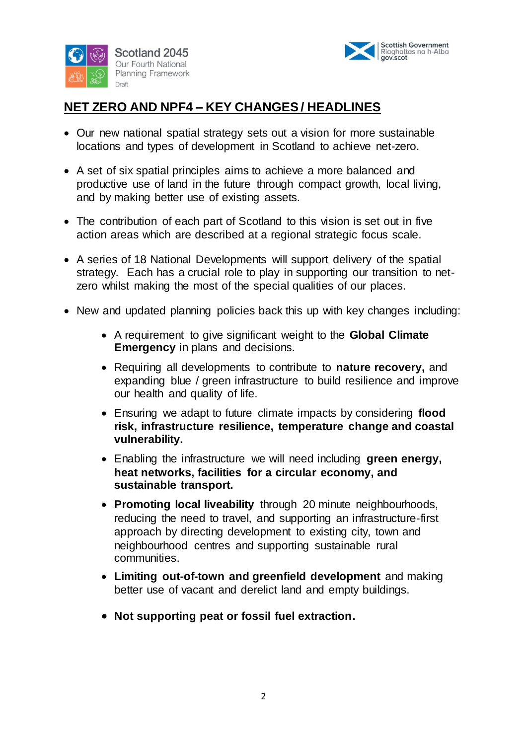



# **NET ZERO AND NPF4 – KEY CHANGES / HEADLINES**

- Our new national spatial strategy sets out a vision for more sustainable locations and types of development in Scotland to achieve net-zero.
- A set of six spatial principles aims to achieve a more balanced and productive use of land in the future through compact growth, local living, and by making better use of existing assets.
- The contribution of each part of Scotland to this vision is set out in five action areas which are described at a regional strategic focus scale.
- A series of 18 National Developments will support delivery of the spatial strategy. Each has a crucial role to play in supporting our transition to netzero whilst making the most of the special qualities of our places.
- New and updated planning policies back this up with key changes including:
	- A requirement to give significant weight to the **Global Climate Emergency** in plans and decisions.
	- Requiring all developments to contribute to **nature recovery,** and expanding blue / green infrastructure to build resilience and improve our health and quality of life.
	- Ensuring we adapt to future climate impacts by considering **flood risk, infrastructure resilience, temperature change and coastal vulnerability.**
	- Enabling the infrastructure we will need including **green energy, heat networks, facilities for a circular economy, and sustainable transport.**
	- **Promoting local liveability** through 20 minute neighbourhoods, reducing the need to travel, and supporting an infrastructure-first approach by directing development to existing city, town and neighbourhood centres and supporting sustainable rural communities.
	- **Limiting out-of-town and greenfield development** and making better use of vacant and derelict land and empty buildings.
	- **Not supporting peat or fossil fuel extraction.**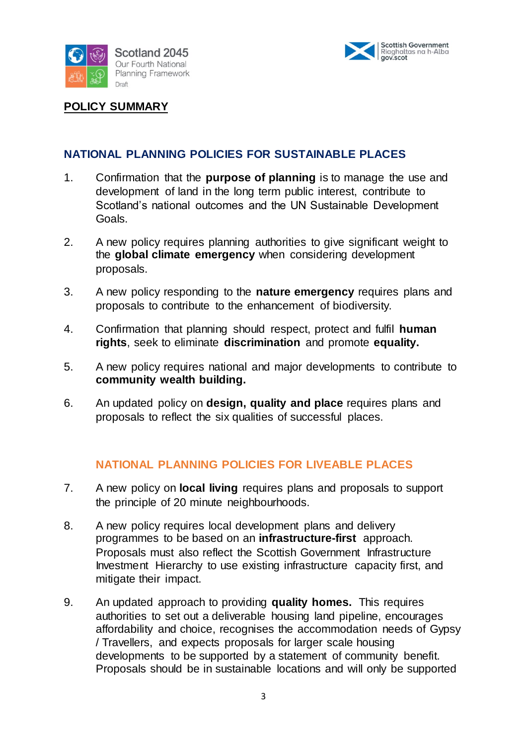



**POLICY SUMMARY**

## **NATIONAL PLANNING POLICIES FOR SUSTAINABLE PLACES**

- 1. Confirmation that the **purpose of planning** is to manage the use and development of land in the long term public interest, contribute to Scotland's national outcomes and the UN Sustainable Development Goals.
- 2. A new policy requires planning authorities to give significant weight to the **global climate emergency** when considering development proposals.
- 3. A new policy responding to the **nature emergency** requires plans and proposals to contribute to the enhancement of biodiversity.
- 4. Confirmation that planning should respect, protect and fulfil **human rights**, seek to eliminate **discrimination** and promote **equality.**
- 5. A new policy requires national and major developments to contribute to **community wealth building.**
- 6. An updated policy on **design, quality and place** requires plans and proposals to reflect the six qualities of successful places.

#### **NATIONAL PLANNING POLICIES FOR LIVEABLE PLACES**

- 7. A new policy on **local living** requires plans and proposals to support the principle of 20 minute neighbourhoods.
- 8. A new policy requires local development plans and delivery programmes to be based on an **infrastructure-first** approach. Proposals must also reflect the Scottish Government Infrastructure Investment Hierarchy to use existing infrastructure capacity first, and mitigate their impact.
- 9. An updated approach to providing **quality homes.** This requires authorities to set out a deliverable housing land pipeline, encourages affordability and choice, recognises the accommodation needs of Gypsy / Travellers, and expects proposals for larger scale housing developments to be supported by a statement of community benefit. Proposals should be in sustainable locations and will only be supported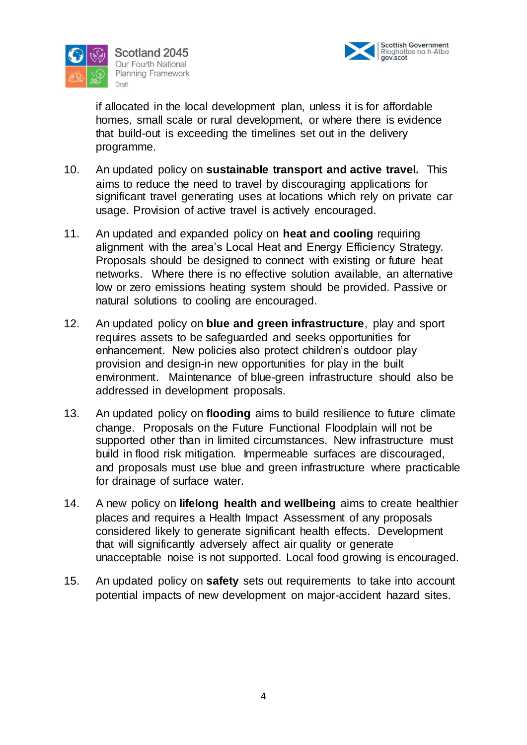



if allocated in the local development plan, unless it is for affordable homes, small scale or rural development, or where there is evidence that build-out is exceeding the timelines set out in the delivery programme.

- 10. An updated policy on **sustainable transport and active travel.** This aims to reduce the need to travel by discouraging applications for significant travel generating uses at locations which rely on private car usage. Provision of active travel is actively encouraged.
- 11. An updated and expanded policy on **heat and cooling** requiring alignment with the area's Local Heat and Energy Efficiency Strategy. Proposals should be designed to connect with existing or future heat networks. Where there is no effective solution available, an alternative low or zero emissions heating system should be provided. Passive or natural solutions to cooling are encouraged.
- 12. An updated policy on **blue and green infrastructure**, play and sport requires assets to be safeguarded and seeks opportunities for enhancement. New policies also protect children's outdoor play provision and design-in new opportunities for play in the built environment. Maintenance of blue-green infrastructure should also be addressed in development proposals.
- 13. An updated policy on **flooding** aims to build resilience to future climate change. Proposals on the Future Functional Floodplain will not be supported other than in limited circumstances. New infrastructure must build in flood risk mitigation. Impermeable surfaces are discouraged, and proposals must use blue and green infrastructure where practicable for drainage of surface water.
- 14. A new policy on **lifelong health and wellbeing** aims to create healthier places and requires a Health Impact Assessment of any proposals considered likely to generate significant health effects. Development that will significantly adversely affect air quality or generate unacceptable noise is not supported. Local food growing is encouraged.
- 15. An updated policy on **safety** sets out requirements to take into account potential impacts of new development on major-accident hazard sites.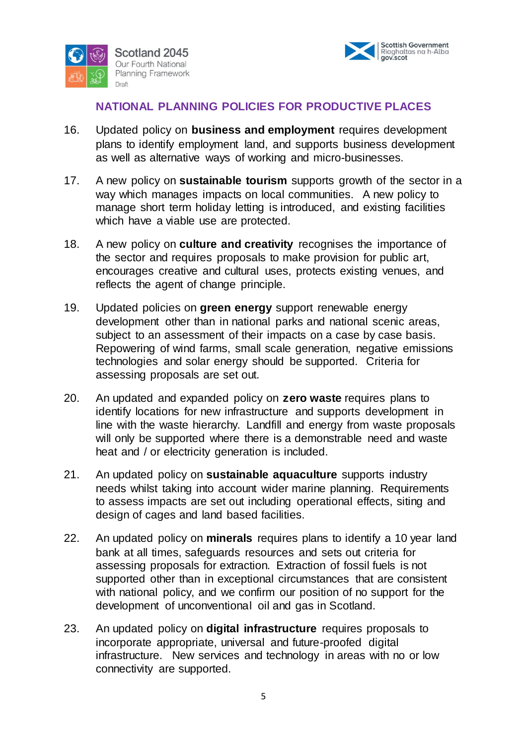



#### **NATIONAL PLANNING POLICIES FOR PRODUCTIVE PLACES**

- 16. Updated policy on **business and employment** requires development plans to identify employment land, and supports business development as well as alternative ways of working and micro-businesses.
- 17. A new policy on **sustainable tourism** supports growth of the sector in a way which manages impacts on local communities. A new policy to manage short term holiday letting is introduced, and existing facilities which have a viable use are protected.
- 18. A new policy on **culture and creativity** recognises the importance of the sector and requires proposals to make provision for public art, encourages creative and cultural uses, protects existing venues, and reflects the agent of change principle.
- 19. Updated policies on **green energy** support renewable energy development other than in national parks and national scenic areas, subject to an assessment of their impacts on a case by case basis. Repowering of wind farms, small scale generation, negative emissions technologies and solar energy should be supported. Criteria for assessing proposals are set out.
- 20. An updated and expanded policy on **zero waste** requires plans to identify locations for new infrastructure and supports development in line with the waste hierarchy. Landfill and energy from waste proposals will only be supported where there is a demonstrable need and waste heat and / or electricity generation is included.
- 21. An updated policy on **sustainable aquaculture** supports industry needs whilst taking into account wider marine planning. Requirements to assess impacts are set out including operational effects, siting and design of cages and land based facilities.
- 22. An updated policy on **minerals** requires plans to identify a 10 year land bank at all times, safeguards resources and sets out criteria for assessing proposals for extraction. Extraction of fossil fuels is not supported other than in exceptional circumstances that are consistent with national policy, and we confirm our position of no support for the development of unconventional oil and gas in Scotland.
- 23. An updated policy on **digital infrastructure** requires proposals to incorporate appropriate, universal and future-proofed digital infrastructure. New services and technology in areas with no or low connectivity are supported.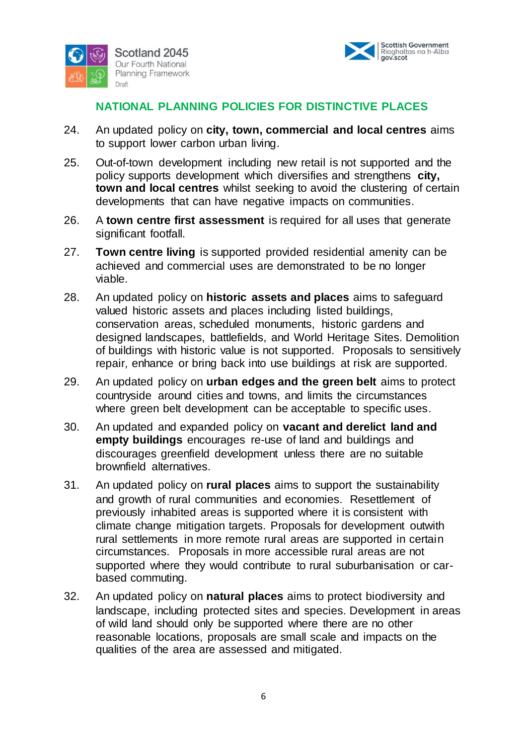



### **NATIONAL PLANNING POLICIES FOR DISTINCTIVE PLACES**

- 24. An updated policy on **city, town, commercial and local centres** aims to support lower carbon urban living.
- 25. Out-of-town development including new retail is not supported and the policy supports development which diversifies and strengthens **city, town and local centres** whilst seeking to avoid the clustering of certain developments that can have negative impacts on communities.
- 26. A **town centre first assessment** is required for all uses that generate significant footfall.
- 27. **Town centre living** is supported provided residential amenity can be achieved and commercial uses are demonstrated to be no longer viable.
- 28. An updated policy on **historic assets and places** aims to safeguard valued historic assets and places including listed buildings, conservation areas, scheduled monuments, historic gardens and designed landscapes, battlefields, and World Heritage Sites. Demolition of buildings with historic value is not supported. Proposals to sensitively repair, enhance or bring back into use buildings at risk are supported.
- 29. An updated policy on **urban edges and the green belt** aims to protect countryside around cities and towns, and limits the circumstances where green belt development can be acceptable to specific uses.
- 30. An updated and expanded policy on **vacant and derelict land and empty buildings** encourages re-use of land and buildings and discourages greenfield development unless there are no suitable brownfield alternatives.
- 31. An updated policy on **rural places** aims to support the sustainability and growth of rural communities and economies. Resettlement of previously inhabited areas is supported where it is consistent with climate change mitigation targets. Proposals for development outwith rural settlements in more remote rural areas are supported in certain circumstances. Proposals in more accessible rural areas are not supported where they would contribute to rural suburbanisation or carbased commuting.
- 32. An updated policy on **natural places** aims to protect biodiversity and landscape, including protected sites and species. Development in areas of wild land should only be supported where there are no other reasonable locations, proposals are small scale and impacts on the qualities of the area are assessed and mitigated.